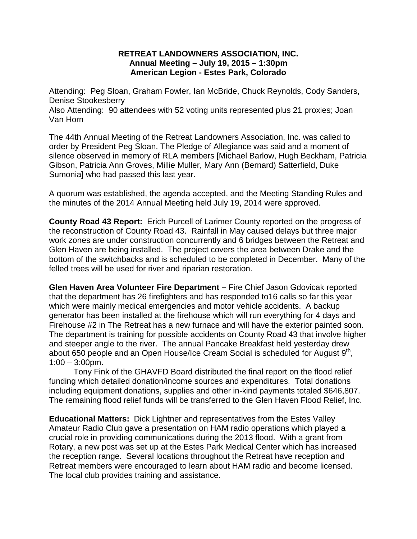## **RETREAT LANDOWNERS ASSOCIATION, INC. Annual Meeting – July 19, 2015 – 1:30pm American Legion - Estes Park, Colorado**

Attending: Peg Sloan, Graham Fowler, Ian McBride, Chuck Reynolds, Cody Sanders, Denise Stookesberry

Also Attending: 90 attendees with 52 voting units represented plus 21 proxies; Joan Van Horn

The 44th Annual Meeting of the Retreat Landowners Association, Inc. was called to order by President Peg Sloan. The Pledge of Allegiance was said and a moment of silence observed in memory of RLA members [Michael Barlow, Hugh Beckham, Patricia Gibson, Patricia Ann Groves, Millie Muller, Mary Ann (Bernard) Satterfield, Duke Sumonia] who had passed this last year.

A quorum was established, the agenda accepted, and the Meeting Standing Rules and the minutes of the 2014 Annual Meeting held July 19, 2014 were approved.

**County Road 43 Report:** Erich Purcell of Larimer County reported on the progress of the reconstruction of County Road 43. Rainfall in May caused delays but three major work zones are under construction concurrently and 6 bridges between the Retreat and Glen Haven are being installed. The project covers the area between Drake and the bottom of the switchbacks and is scheduled to be completed in December. Many of the felled trees will be used for river and riparian restoration.

**Glen Haven Area Volunteer Fire Department –** Fire Chief Jason Gdovicak reported that the department has 26 firefighters and has responded to16 calls so far this year which were mainly medical emergencies and motor vehicle accidents. A backup generator has been installed at the firehouse which will run everything for 4 days and Firehouse #2 in The Retreat has a new furnace and will have the exterior painted soon. The department is training for possible accidents on County Road 43 that involve higher and steeper angle to the river. The annual Pancake Breakfast held yesterday drew about 650 people and an Open House/Ice Cream Social is scheduled for August 9<sup>th</sup>,  $1:00 - 3:00$ pm.

Tony Fink of the GHAVFD Board distributed the final report on the flood relief funding which detailed donation/income sources and expenditures. Total donations including equipment donations, supplies and other in-kind payments totaled \$646,807. The remaining flood relief funds will be transferred to the Glen Haven Flood Relief, Inc.

**Educational Matters:** Dick Lightner and representatives from the Estes Valley Amateur Radio Club gave a presentation on HAM radio operations which played a crucial role in providing communications during the 2013 flood. With a grant from Rotary, a new post was set up at the Estes Park Medical Center which has increased the reception range. Several locations throughout the Retreat have reception and Retreat members were encouraged to learn about HAM radio and become licensed. The local club provides training and assistance.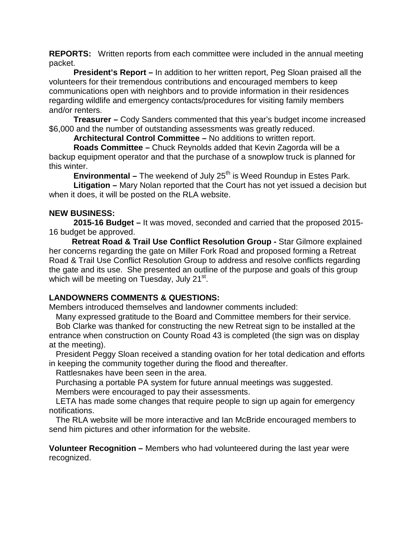**REPORTS:** Written reports from each committee were included in the annual meeting packet.

**President's Report –** In addition to her written report, Peg Sloan praised all the volunteers for their tremendous contributions and encouraged members to keep communications open with neighbors and to provide information in their residences regarding wildlife and emergency contacts/procedures for visiting family members and/or renters.

**Treasurer –** Cody Sanders commented that this year's budget income increased \$6,000 and the number of outstanding assessments was greatly reduced.

**Architectural Control Committee –** No additions to written report.

**Roads Committee –** Chuck Reynolds added that Kevin Zagorda will be a backup equipment operator and that the purchase of a snowplow truck is planned for this winter.

**Environmental –** The weekend of July 25<sup>th</sup> is Weed Roundup in Estes Park.

**Litigation –** Mary Nolan reported that the Court has not yet issued a decision but when it does, it will be posted on the RLA website.

## **NEW BUSINESS:**

**2015-16 Budget –** It was moved, seconded and carried that the proposed 2015- 16 budget be approved.

 **Retreat Road & Trail Use Conflict Resolution Group -** Star Gilmore explained her concerns regarding the gate on Miller Fork Road and proposed forming a Retreat Road & Trail Use Conflict Resolution Group to address and resolve conflicts regarding the gate and its use. She presented an outline of the purpose and goals of this group which will be meeting on Tuesday, July  $21<sup>st</sup>$ .

## **LANDOWNERS COMMENTS & QUESTIONS:**

Members introduced themselves and landowner comments included:

Many expressed gratitude to the Board and Committee members for their service.

 Bob Clarke was thanked for constructing the new Retreat sign to be installed at the entrance when construction on County Road 43 is completed (the sign was on display at the meeting).

 President Peggy Sloan received a standing ovation for her total dedication and efforts in keeping the community together during the flood and thereafter.

Rattlesnakes have been seen in the area.

Purchasing a portable PA system for future annual meetings was suggested.

Members were encouraged to pay their assessments.

 LETA has made some changes that require people to sign up again for emergency notifications.

 The RLA website will be more interactive and Ian McBride encouraged members to send him pictures and other information for the website.

**Volunteer Recognition –** Members who had volunteered during the last year were recognized.